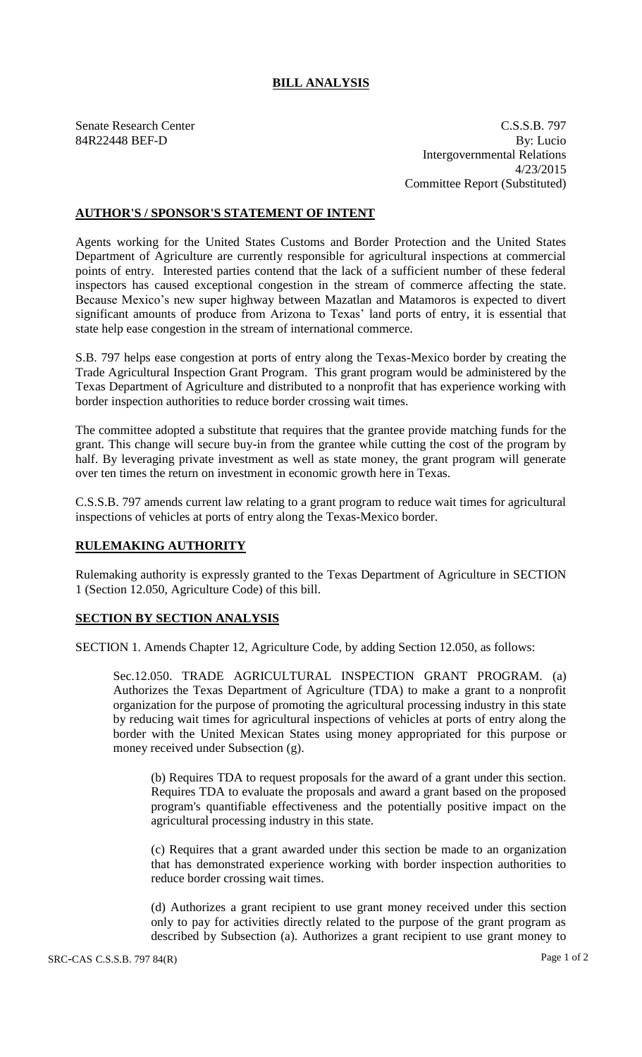## **BILL ANALYSIS**

Senate Research Center C.S.S.B. 797 84R22448 BEF-D By: Lucio Intergovernmental Relations 4/23/2015 Committee Report (Substituted)

## **AUTHOR'S / SPONSOR'S STATEMENT OF INTENT**

Agents working for the United States Customs and Border Protection and the United States Department of Agriculture are currently responsible for agricultural inspections at commercial points of entry. Interested parties contend that the lack of a sufficient number of these federal inspectors has caused exceptional congestion in the stream of commerce affecting the state. Because Mexico's new super highway between Mazatlan and Matamoros is expected to divert significant amounts of produce from Arizona to Texas' land ports of entry, it is essential that state help ease congestion in the stream of international commerce.

S.B. 797 helps ease congestion at ports of entry along the Texas-Mexico border by creating the Trade Agricultural Inspection Grant Program. This grant program would be administered by the Texas Department of Agriculture and distributed to a nonprofit that has experience working with border inspection authorities to reduce border crossing wait times.

The committee adopted a substitute that requires that the grantee provide matching funds for the grant. This change will secure buy-in from the grantee while cutting the cost of the program by half. By leveraging private investment as well as state money, the grant program will generate over ten times the return on investment in economic growth here in Texas.

C.S.S.B. 797 amends current law relating to a grant program to reduce wait times for agricultural inspections of vehicles at ports of entry along the Texas-Mexico border.

## **RULEMAKING AUTHORITY**

Rulemaking authority is expressly granted to the Texas Department of Agriculture in SECTION 1 (Section 12.050, Agriculture Code) of this bill.

## **SECTION BY SECTION ANALYSIS**

SECTION 1. Amends Chapter 12, Agriculture Code, by adding Section 12.050, as follows:

Sec.12.050. TRADE AGRICULTURAL INSPECTION GRANT PROGRAM. (a) Authorizes the Texas Department of Agriculture (TDA) to make a grant to a nonprofit organization for the purpose of promoting the agricultural processing industry in this state by reducing wait times for agricultural inspections of vehicles at ports of entry along the border with the United Mexican States using money appropriated for this purpose or money received under Subsection (g).

(b) Requires TDA to request proposals for the award of a grant under this section. Requires TDA to evaluate the proposals and award a grant based on the proposed program's quantifiable effectiveness and the potentially positive impact on the agricultural processing industry in this state.

(c) Requires that a grant awarded under this section be made to an organization that has demonstrated experience working with border inspection authorities to reduce border crossing wait times.

(d) Authorizes a grant recipient to use grant money received under this section only to pay for activities directly related to the purpose of the grant program as described by Subsection (a). Authorizes a grant recipient to use grant money to